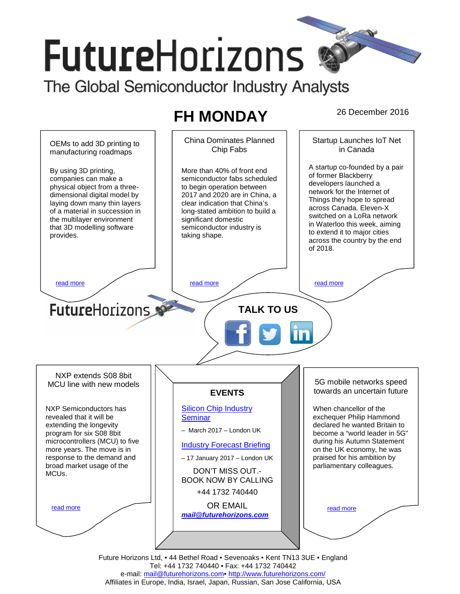# **FutureHorizons**

The Global Semiconductor Industry Analysts

## **FH MONDAY** 26 December 2016



Tel: +44 1732 740440 • Fax: +44 1732 740442 e-mail: mail@futurehorizons.com• http://www.futurehorizons.com/ Affiliates in Europe, India, Israel, Japan, Russian, San Jose California, USA